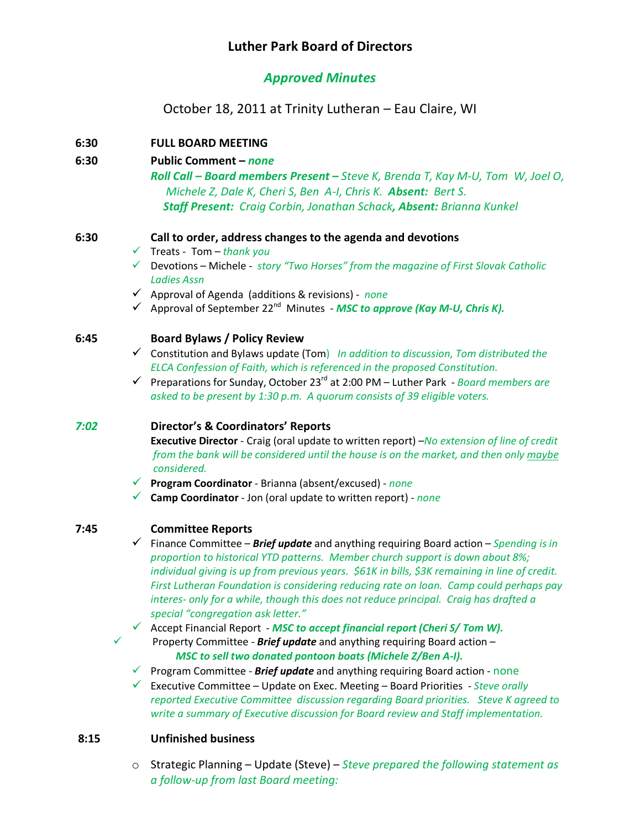# *Approved Minutes*

# October 18, 2011 at Trinity Lutheran – Eau Claire, WI

## **6:30 FULL BOARD MEETING**

#### **6:30 Public Comment –** *none*

*Roll Call – Board members Present – Steve K, Brenda T, Kay M-U, Tom W, Joel O, Michele Z, Dale K, Cheri S, Ben A-I, Chris K. Absent: Bert S. Staff Present: Craig Corbin, Jonathan Schack, Absent: Brianna Kunkel*

#### **6:30 Call to order, address changes to the agenda and devotions**

- ¸ Treats Tom *thank you*
- ¸ Devotions Michele *story "Two Horses" from the magazine of First Slovak Catholic Ladies Assn*
- ¸ Approval of Agenda (additions & revisions) *none*
- $\checkmark$  Approval of September 22<sup>nd</sup> Minutes MSC to approve (Kay M-U, Chris K).

#### **6:45 Board Bylaws / Policy Review**

- ¸ Constitution and Bylaws update (Tom) *In addition to discussion, Tom distributed the ELCA Confession of Faith, which is referenced in the proposed Constitution.*
- ¸ Preparations for Sunday, October 23rd at 2:00 PM Luther Park *Board members are asked to be present by 1:30 p.m. A quorum consists of 39 eligible voters.*

## *7:02* **Director's & Coordinators' Reports**

**Executive Director** - Craig (oral update to written report) –*No extension of line of credit from the bank will be considered until the house is on the market, and then only maybe considered.*

- ¸ **Program Coordinator** Brianna (absent/excused) *none*
- ¸ **Camp Coordinator** Jon (oral update to written report) *none*

## **7:45 Committee Reports**

¸ Finance Committee – *Brief update* and anything requiring Board action – *Spending is in proportion to historical YTD patterns. Member church support is down about 8%; individual giving is up from previous years. \$61K in bills, \$3K remaining in line of credit. First Lutheran Foundation is considering reducing rate on loan. Camp could perhaps pay interes- only for a while, though this does not reduce principal. Craig has drafted a special "congregation ask letter."*

¸ Accept Financial Report - *MSC to accept financial report (Cheri S/ Tom W).* ¸ Property Committee - *Brief update* and anything requiring Board action –

*MSC to sell two donated pontoon boats (Michele Z/Ben A-I).*

¸ Program Committee - *Brief update* and anything requiring Board action - none

¸ Executive Committee – Update on Exec. Meeting – Board Priorities - *Steve orally reported Executive Committee discussion regarding Board priorities. Steve K agreed to write a summary of Executive discussion for Board review and Staff implementation.*

## **8:15 Unfinished business**

o Strategic Planning – Update (Steve) – *Steve prepared the following statement as a follow-up from last Board meeting:*